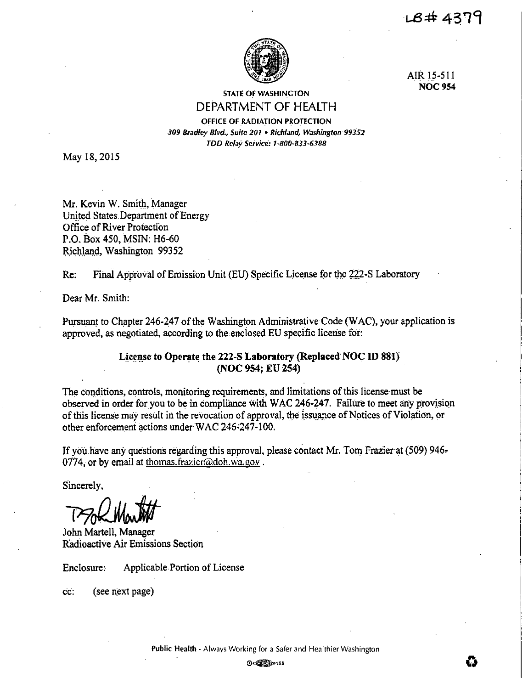LB# 4379



AIR 15-511 **NOC954** 

## STATE OF WASHINGTON DEPARTMENT OF HEALTH

OFFICE OF RADIATION PROTECTION *309 Bradley Blvd., Suite 201* • *Richland, Washington 99352 TDD Relay Service: 1-800-833-6.188* 

May 18, 2015

Mr. Kevin W. Smith, Manager United States Department of Energy Office of River Protection P.O. Box 450, MSIN: H6-60 Richland, Washington 99352

Re: Final Approval of Emission Unit (EU) Specific License for the 222-S Laboratory

Dear Mr. Smith:

Pursuant to Chapter 246-247 of the Washington Administrative Code (WAC), your application is approved, as negotiated, according to the enclosed.EU specific license for:

## License to Operate the 222-S Laboratory (Replaced NOC ID 881) **(NOC 954; EU 254)**

The conditions, controls, monitoring requirements, and limitations of this license must be observed in order for you to be in compliance with WAC 246-247. Failure to meet any provision of this license may result in the revocation of approval, the issuance of Notices of Violation, or other enforcement actions under WAC 246-247-100.

If you have any questions regarding this approval, please contact Mr. Tom Frazier at  $(509)$  946. 0774, or by email at thomas.frazier@doh.wa.gov.

Sincerely,

Sincerely,<br>
The Month Hartell, Manager

Radioactive Air Emissions Section

Enclosure: Applicable Portion of License

cc: (see next page)

Public Health - Always Working for a Safer and Healthier Washington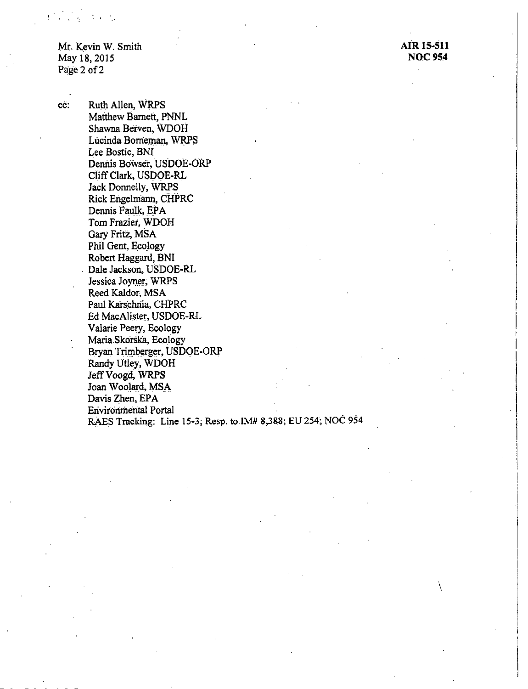Mr. Kevin W. Smith May 18, 2015 Page 2 of 2

**Contractor** 

**AiR 15-511 NOC954** 

 $\int$ 

cc: Ruth Allen, WRPS Matthew Barnett, PNNL Shawna Beiven, WDOH Lucinda Borneman, WRPS Lee Bostic, BNI Dennis Bowser, USDOE-ORP C)iff Clark, USDOE-RL Jack Donnelly, WRPS Rick Engelmann, cHPRC Dennis Faulk, EPA Tom Frazier, WDOH Gary Fritz, MSA Phil Gent, Ecology Robert Haggard, BNI Dale Jackson, USDOE-RL Jessica Joyner; WRPS Reed Kaldor, MSA Paul Karschnia, CHPRC Ed MacAlister, USDOE-RL Valarie Peery, Ecology Maria.Skorska, Ecoiogy Bryan Trimberger, USDOE-ORP Randy Utley, WDOH Jeff Voogd, WRPS Joan Woolard, MSA Davis Zhen, EPA Erivirorunerital Portal RAES Tracking: Line 15°3; Resp. to.lM# 8,388; EU 254; NOC 954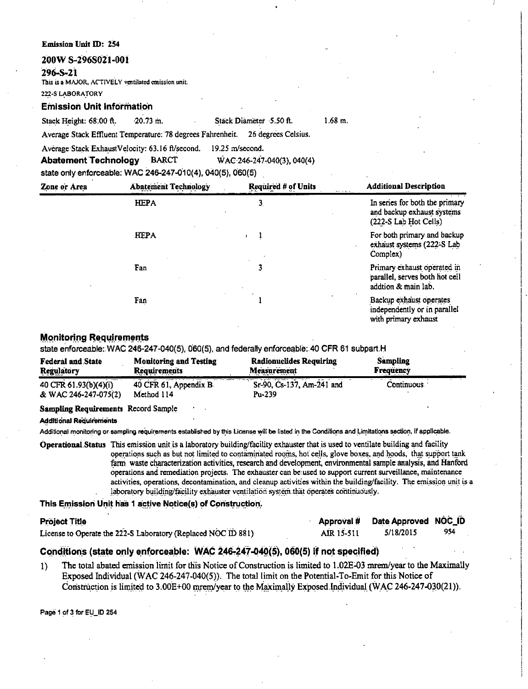#### **Emission Unit** ID: 254

#### **200W S-296S021-001**

#### **296-S-2i**

This is a MAJOR, ACTIVELY ventilated emission unit.

222-S LABORATORY

**Emission Unit Information** 

Stack Height: 68:00 ft. · 20.73 m. Stack Diameter 5.50 ft.

1.68 m.

Average Stack Effluent Temperature: 78 degrees Fahrenheit. 26 degrees Celsius.

Average Stack ExhaustVelocity: 63.16 ft/second. 19.25 m/second.

**AbatementTechnology** BARCT WAC246-247.040(3), 040(4)

state only enforceable: WAC 246-247-010(4), 040(5), 060(5)

| Zone or Area | <b>Abatement Technology</b> | <b>Required # of Units</b> | <b>Additional Description</b>                                                           |  |  |
|--------------|-----------------------------|----------------------------|-----------------------------------------------------------------------------------------|--|--|
|              | <b>HEPA</b>                 | 3.                         | In series for both the primary<br>and backup exhaust systems<br>$(222-S$ Lab Hot Cells) |  |  |
|              | <b>HEPA</b>                 |                            | For both primary and backup<br>exhaust systems (222-S Lab<br>Complex)                   |  |  |
|              | Fan                         | 3                          | Primary exhaust operated in<br>parallel, serves both hot cell<br>addtion & main lab.    |  |  |
|              | Fan                         |                            | Backup exhaust operates<br>independently or in parallel<br>with primary exhaust         |  |  |

## **Monitoring Requirements**

state enforceable: WAC 246-247-040(5), 060(5), and federally enforceable: 40 CFR 61 subpart.H

| <b>Federal and State</b> | <b>Monitoring and Testing</b> | <b>Radionuclides Requiring</b> | <b>Sampling</b>  |
|--------------------------|-------------------------------|--------------------------------|------------------|
| <b>Regulatory</b>        | <b>Requirements</b>           | <b>Measurement</b>             | <b>Frequency</b> |
| 40 CFR 61.93(b)(4)(i)    | 40 CFR 61, Appendix B.        | Sr-90, Cs-137, Am-241 and      | Continuous       |
| & WAC 246-247-075(2)     | Method 114                    | Pu-239                         |                  |

#### **Sampling Requirements** Record Sample

**AcldtticinaJ Requlrerrients** 

Additional monitoring or sampling requirements established by this License will be listed in the Conditions and Limitations section, if applicable.

**OperationalStatus** This emission unit is a laboratory building/facility exhauster that is used to ventilate building and facility operations such as but not limited to contaminated rooms, hot cells, glove boxes, and hoods, that support tank farm waste characterization activities, research and development, environmental sample analysis, and Hanford operations and remediation projects. The exhauster can be:used to support current surveillance, maintenance activities, operations, decontamination, and cleanup activities within the building/facility. The emission unit is a laboratory building/facility exhauster ventilation system that operates continuously.

This Emission Unit has 1 active Notice(s) of Construction.

| <b>Project Title</b>                                          |            | Approval # Date Approved NOC_ID |     |
|---------------------------------------------------------------|------------|---------------------------------|-----|
| License to Operate the 222-S Laboratory (Replaced NOC ID 881) | AIR 15-511 | 5/18/2015                       | 954 |

## **CQnditlon\_s (state only ~nforceable: WAC 246-247-04Q(S}, 060(5) if not specified}**

1) The total abated emission limit for this Notice of Construction is limited to 1.02E-03 mrem/year to the Maximally Exposed Individual (WAC 246-247-040(5}), The total limit on the Potential-To-Emit for this Notice of Construction is limited to  $3.00E+00$  mrem/year to the Maximally Exposed Individual (WAC 246-247-030(21)).

Page 1 of 3 for EU\_IO 254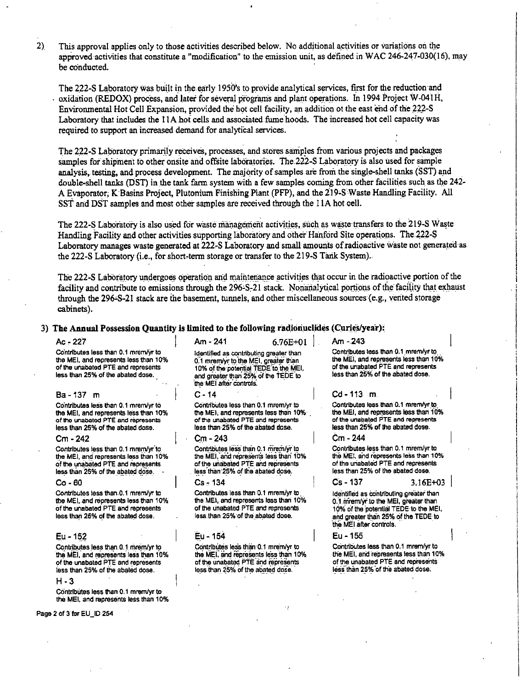$2)$ This approval applies only to those activities described below. No additional activities or variations on the approved activities that constitute a "modification" to the emission unit, as defined in WAC 246-247-030(16), may be conducted.

The 222-S Laboratory was built in the early 1950's to provide analytical services, first for the reduction and oxidation (REDOX) process, and later for several programs and plant operations. In 1994 Project W-041H, Environmental Hot Cell Expansion, provided the hot cell facility, an addition ot the east end of the 222-S Laboratory that includes the 11A hot cells and associated fume hoods. The increased hot cell capacity was required to support an increased demand for analytical services.

The 222-S Laboratory primarily receives, processes, and stores samples from various projects and packages samples for shipment to other onsite and offsite laboratories. The 222-S Laboratory is also used for sample analysis, testing, and process development. The majority of samples are from the single-shell tanks (SST) and double-shell tanks (DST) in the tank farm system with a few samples coming from other facilities such as the 242-A Evaporator, K Basins Project, Plutonium Finishing Plant (PFP), and the 219-S Waste Handling Facility. All SST and DST samples and most other samples are received through the 11A hot cell.

The 222-S Laboratory is also used for waste management activities, such as waste transfers to the 219-S Waste Handling Facility and other activities supporting laboratory and other Hanford Site operations. The 222-S Laboratory manages waste generated at 222-S Laboratory and small amounts of radioactive waste not generated as the 222-S Laboratory (i.e., for short-term storage or transfer to the 219-S Tank System).

The 222-S Laboratory undergoes operation and maintenance activities that occur in the radioactive portion of the facility and contribute to emissions through the 296-S-21 stack. Nonanalytical portions of the facility that exhaust through the 296-S-21 stack are the basement, tunnels, and other miscellaneous sources (e.g., vented storage cabinets).

## 3) The Annual Possession Quantity is limited to the following radionuclides (Curies/year):

#### $Ac - 227$

Contributes less than 0.1 mrem/yr to the MEI, and represents less than 10% of the unabated PTE and represents less than 25% of the abated dose.

#### Ba-137 m

Contributes less than 0.1 mrem/yr to the MEI, and represents less than 10% of the unabated PTE and represents less than 25% of the abated dose.

#### $Cm - 242$

Contributes less than 0.1 mrem/vr to the MEI, and represents less than 10% of the unabated PTE and represents less than 25% of the abated dose.

#### $Co - 60$

Contributes less than 0.1 mrem/yr to the MEI, and represents less than 10% of the unabated PTE and represents less than 25% of the abated dose.

#### Eu - 152

Contributes less than 0.1 mrem/yr to the MEI, and represents less than 10% of the unabated PTE and represents less than 25% of the abated dose.

#### $H - 3$

Contributes less than 0.1 mrem/yr to the MEI, and represents less than 10%

Page 2 of 3 for EU\_ID 254

 $Am - 241$  $6.76E + 01$ Identified as contributing greater than 0.1 mrem/yr to the MEI, greater than 10% of the potential TEDE to the MEI and greater than 25% of the TEDE to

#### $C - 14$

the MEI after controls.

Contributes less than 0.1 mrem/yr to the MEI, and represents less than 10% of the unabated PTE and represents less than 25% of the abated dose.

#### Cm - 243

Contributes less than 0.1 mrem/vr to the MEI, and represents less than 10% of the unabated PTE and represents less than 25% of the abated dose.

#### Cs - 134

Contributes less than 0.1 mrem/yr to the MEI, and represents less than 10% of the unabated PTE and represents less than 25% of the abated dose.

#### Eu - 154

Contributes less than 0.1 mrem/yr to the MEI, and represents less than 10% of the unabated PTE and represents less than 25% of the abated dose.

Am - 243 Contributes tess than 0.1 mrem/yr to the MEI, and represents less than 10% of the unabated PTE and represents less than 25% of the abated dose.

#### Cd-113 m.

Contributes less than 0.1 mrem/yr to the MEI, and represents less than 10% of the unabated PTE and represents less than 25% of the abated dose.

#### Cm - 244

 $Cs - 137$ 

Contributes less than 0.1 mrem/yr to the MEI, and represents less than 10% of the unabated PTE and represents less than 25% of the abated dose.

#### 3.16E+03

Identified as contributing greater than 0.1 mrem/yr to the MEI, greater than 10% of the potential TEDE to the MEI. and greater than 25% of the TEDE to the MEI after controls.

Eu - 155

Contributes less than 0.1 mrem/yr to the MEI, and represents less than 10% of the unabated PTE and represents less than 25% of the abated dose.